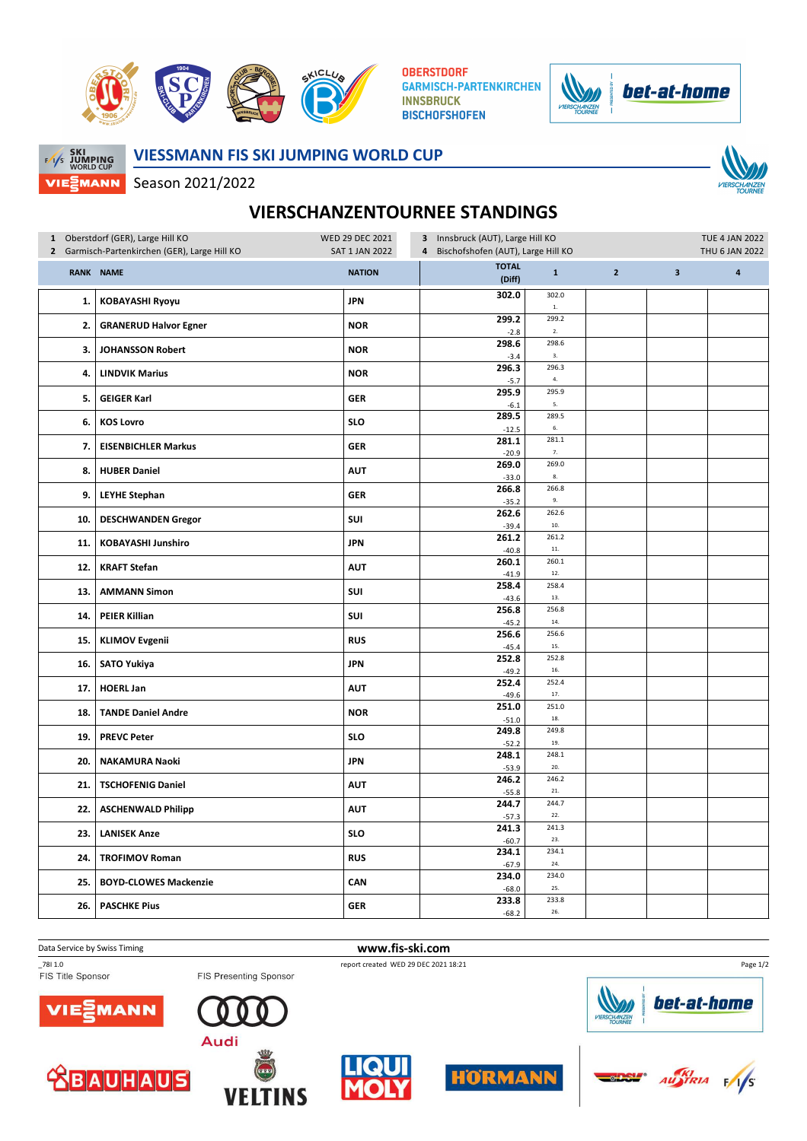

**OBERSTDORF GARMISCH-PARTENKIRCHEN INNSBRUCK BISCHOFSHOFEN** 





**VIESSMANN FIS SKI JUMPING WORLD CUP**

Season 2021/2022



## **VIERSCHANZENTOURNEE STANDINGS**

| 1 Oberstdorf (GER), Large Hill KO<br>Garmisch-Partenkirchen (GER), Large Hill KO<br>$\mathbf{2}$ |                              | WED 29 DEC 2021<br><b>SAT 1 JAN 2022</b> | 3 Innsbruck (AUT), Large Hill KO<br>Bischofshofen (AUT), Large Hill KO<br>$\overline{4}$ |                    |                |                         | <b>TUE 4 JAN 2022</b><br>THU 6 JAN 2022 |  |
|--------------------------------------------------------------------------------------------------|------------------------------|------------------------------------------|------------------------------------------------------------------------------------------|--------------------|----------------|-------------------------|-----------------------------------------|--|
| <b>RANK</b>                                                                                      | <b>NAME</b>                  | <b>NATION</b>                            | <b>TOTAL</b><br>(Diff)                                                                   | $\mathbf 1$        | $\overline{2}$ | $\overline{\mathbf{3}}$ | $\overline{\mathbf{a}}$                 |  |
| 1.                                                                                               | <b>KOBAYASHI Ryoyu</b>       | <b>JPN</b>                               | 302.0                                                                                    | 302.0<br>$1.$      |                |                         |                                         |  |
| 2.                                                                                               | <b>GRANERUD Halvor Egner</b> | <b>NOR</b>                               | 299.2<br>$-2.8$                                                                          | 299.2<br>2.        |                |                         |                                         |  |
| з.                                                                                               | <b>JOHANSSON Robert</b>      | <b>NOR</b>                               | 298.6<br>$-3.4$                                                                          | 298.6<br>3.        |                |                         |                                         |  |
| 4.                                                                                               | <b>LINDVIK Marius</b>        | <b>NOR</b>                               | 296.3<br>$-5.7$                                                                          | 296.3<br>4.        |                |                         |                                         |  |
| 5.                                                                                               | <b>GEIGER Karl</b>           | <b>GER</b>                               | 295.9<br>$-6.1$                                                                          | 295.9<br>5.        |                |                         |                                         |  |
| 6.                                                                                               | <b>KOS Lovro</b>             | <b>SLO</b>                               | 289.5<br>$-12.5$                                                                         | 289.5<br>6.        |                |                         |                                         |  |
| 7.                                                                                               | <b>EISENBICHLER Markus</b>   | <b>GER</b>                               | 281.1<br>$-20.9$                                                                         | 281.1<br>7.        |                |                         |                                         |  |
| 8.                                                                                               | <b>HUBER Daniel</b>          | <b>AUT</b>                               | 269.0<br>$-33.0$                                                                         | 269.0<br>$\bf 8.$  |                |                         |                                         |  |
| 9.                                                                                               | <b>LEYHE Stephan</b>         | <b>GER</b>                               | 266.8<br>$-35.2$                                                                         | 266.8<br>9.        |                |                         |                                         |  |
| 10.                                                                                              | <b>DESCHWANDEN Gregor</b>    | SUI                                      | 262.6<br>$-39.4$                                                                         | 262.6<br>$10.$     |                |                         |                                         |  |
| 11.                                                                                              | KOBAYASHI Junshiro           | <b>JPN</b>                               | 261.2<br>$-40.8$                                                                         | 261.2<br>$\bf 11.$ |                |                         |                                         |  |
| 12.                                                                                              | <b>KRAFT Stefan</b>          | <b>AUT</b>                               | 260.1<br>$-41.9$                                                                         | 260.1<br>12.       |                |                         |                                         |  |
| 13.                                                                                              | <b>AMMANN Simon</b>          | SUI                                      | 258.4<br>$-43.6$                                                                         | 258.4<br>13.       |                |                         |                                         |  |
| 14.                                                                                              | <b>PEIER Killian</b>         | SUI                                      | 256.8<br>$-45.2$                                                                         | 256.8<br>14.       |                |                         |                                         |  |
| 15.                                                                                              | <b>KLIMOV Evgenii</b>        | <b>RUS</b>                               | 256.6<br>$-45.4$                                                                         | 256.6<br>15.       |                |                         |                                         |  |
| 16.                                                                                              | <b>SATO Yukiya</b>           | <b>JPN</b>                               | 252.8<br>$-49.2$                                                                         | 252.8<br>16.       |                |                         |                                         |  |
| 17.                                                                                              | <b>HOERL Jan</b>             | <b>AUT</b>                               | 252.4<br>$-49.6$                                                                         | 252.4<br>17.       |                |                         |                                         |  |
| 18.                                                                                              | <b>TANDE Daniel Andre</b>    | <b>NOR</b>                               | 251.0<br>$-51.0$                                                                         | 251.0<br>18.       |                |                         |                                         |  |
| 19.                                                                                              | <b>PREVC Peter</b>           | <b>SLO</b>                               | 249.8<br>$-52.2$                                                                         | 249.8<br>19.       |                |                         |                                         |  |
| 20.                                                                                              | <b>NAKAMURA Naoki</b>        | <b>JPN</b>                               | 248.1<br>$-53.9$                                                                         | 248.1<br>20.       |                |                         |                                         |  |
| 21.                                                                                              | <b>TSCHOFENIG Daniel</b>     | <b>AUT</b>                               | 246.2<br>$-55.8$                                                                         | 246.2<br>$21.$     |                |                         |                                         |  |
| 22.                                                                                              | <b>ASCHENWALD Philipp</b>    | <b>AUT</b>                               | 244.7<br>$-57.3$                                                                         | 244.7<br>22.       |                |                         |                                         |  |
| 23.                                                                                              | <b>LANISEK Anze</b>          | <b>SLO</b>                               | 241.3<br>$-60.7$                                                                         | 241.3<br>23.       |                |                         |                                         |  |
| 24.                                                                                              | <b>TROFIMOV Roman</b>        | <b>RUS</b>                               | 234.1<br>$-67.9$                                                                         | 234.1<br>24.       |                |                         |                                         |  |
| 25.                                                                                              | <b>BOYD-CLOWES Mackenzie</b> | CAN                                      | 234.0<br>$-68.0$                                                                         | 234.0<br>25.       |                |                         |                                         |  |
| 26.                                                                                              | <b>PASCHKE Pius</b>          | <b>GER</b>                               | 233.8<br>$-68.2$                                                                         | 233.8<br>26.       |                |                         |                                         |  |

Data Service by Swiss Timing **www.fis-ski.com**<br>
7811.0 report created WED 29 DEC 2021 1<br>
FIS Title Sponsor **FIS Presenting Sponsor** 



**ABAUHAUS** 



**VELTINS** 







bet-at-home

Page 1/2